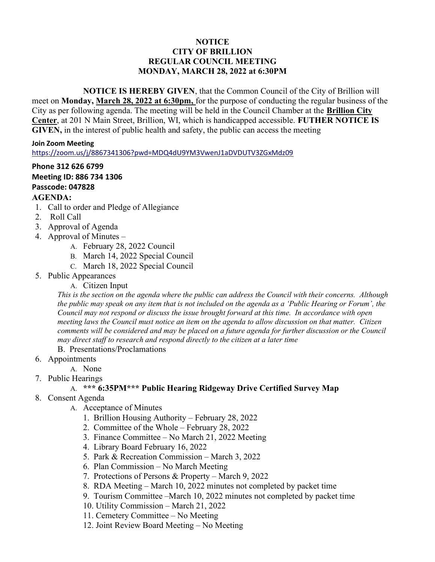# NOTICE CITY OF BRILLION REGULAR COUNCIL MEETING MONDAY, MARCH 28, 2022 at 6:30PM

 NOTICE IS HEREBY GIVEN, that the Common Council of the City of Brillion will meet on Monday, March 28, 2022 at 6:30pm, for the purpose of conducting the regular business of the City as per following agenda. The meeting will be held in the Council Chamber at the Brillion City Center, at 201 N Main Street, Brillion, WI, which is handicapped accessible. FUTHER NOTICE IS GIVEN, in the interest of public health and safety, the public can access the meeting

#### Join Zoom Meeting

https://zoom.us/j/8867341306?pwd=MDQ4dU9YM3VwenJ1aDVDUTV3ZGxMdz09

### Phone 312 626 6799 Meeting ID: 886 734 1306 Passcode: 047828 AGENDA:

- 1. Call to order and Pledge of Allegiance
- 2. Roll Call
- 3. Approval of Agenda
- 4. Approval of Minutes
	- A. February 28, 2022 Council
	- B. March 14, 2022 Special Council
	- C. March 18, 2022 Special Council
- 5. Public Appearances
	- A. Citizen Input

This is the section on the agenda where the public can address the Council with their concerns. Although the public may speak on any item that is not included on the agenda as a 'Public Hearing or Forum', the Council may not respond or discuss the issue brought forward at this time. In accordance with open meeting laws the Council must notice an item on the agenda to allow discussion on that matter. Citizen comments will be considered and may be placed on a future agenda for further discussion or the Council may direct staff to research and respond directly to the citizen at a later time

B. Presentations/Proclamations

- 6. Appointments
	- A. None
- 7. Public Hearings

# A. \*\*\* 6:35PM\*\*\* Public Hearing Ridgeway Drive Certified Survey Map

- 8. Consent Agenda
	- A. Acceptance of Minutes
		- 1. Brillion Housing Authority February 28, 2022
		- 2. Committee of the Whole February 28, 2022
		- 3. Finance Committee No March 21, 2022 Meeting
		- 4. Library Board February 16, 2022
		- 5. Park & Recreation Commission March 3, 2022
		- 6. Plan Commission No March Meeting
		- 7. Protections of Persons & Property March 9, 2022
		- 8. RDA Meeting March 10, 2022 minutes not completed by packet time
		- 9. Tourism Committee –March 10, 2022 minutes not completed by packet time
		- 10. Utility Commission March 21, 2022
		- 11. Cemetery Committee No Meeting
		- 12. Joint Review Board Meeting No Meeting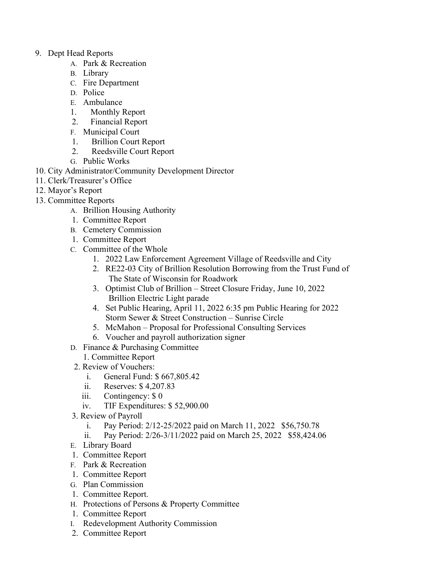# 9. Dept Head Reports

- A. Park & Recreation
- B. Library
- C. Fire Department
- D. Police
- E. Ambulance
- 1. Monthly Report
- 2. Financial Report
- F. Municipal Court
- 1. Brillion Court Report
- 2. Reedsville Court Report
- G. Public Works
- 10. City Administrator/Community Development Director
- 11. Clerk/Treasurer's Office
- 12. Mayor's Report
- 13. Committee Reports
	- A. Brillion Housing Authority
	- 1. Committee Report
	- B. Cemetery Commission
	- 1. Committee Report
	- C. Committee of the Whole
		- 1. 2022 Law Enforcement Agreement Village of Reedsville and City
		- 2. RE22-03 City of Brillion Resolution Borrowing from the Trust Fund of The State of Wisconsin for Roadwork
		- 3. Optimist Club of Brillion Street Closure Friday, June 10, 2022 Brillion Electric Light parade
		- 4. Set Public Hearing, April 11, 2022 6:35 pm Public Hearing for 2022 Storm Sewer & Street Construction – Sunrise Circle
		- 5. McMahon Proposal for Professional Consulting Services
		- 6. Voucher and payroll authorization signer
	- D. Finance & Purchasing Committee
		- 1. Committee Report
		- 2. Review of Vouchers:
			- i. General Fund: \$ 667,805.42
			- ii. Reserves: \$ 4,207.83
			- iii. Contingency: \$ 0
			- iv. TIF Expenditures: \$ 52,900.00
	- 3. Review of Payroll
		- i. Pay Period: 2/12-25/2022 paid on March 11, 2022 \$56,750.78
		- ii. Pay Period: 2/26-3/11/2022 paid on March 25, 2022 \$58,424.06
	- E. Library Board
	- 1. Committee Report
	- F. Park & Recreation
	- 1. Committee Report
	- G. Plan Commission
	- 1. Committee Report.
	- H. Protections of Persons & Property Committee
	- 1. Committee Report
	- I. Redevelopment Authority Commission
	- 2. Committee Report